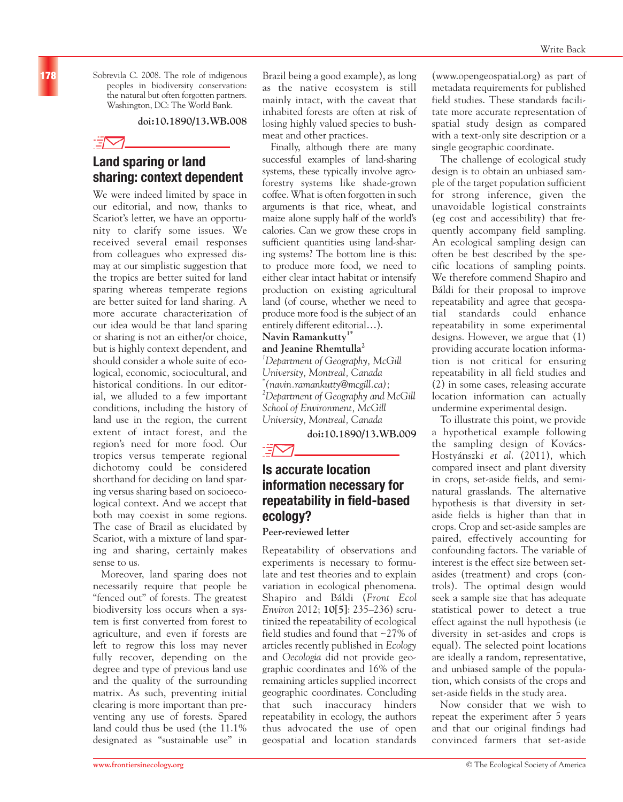**178**

Sobrevila C. 2008. The role of indigenous peoples in biodiversity conservation: the natural but often forgotten partners. Washington, DC: The World Bank.

**doi:10.1890/13.WB.008**

# **Land sparing or land sharing: context dependent**

We were indeed limited by space in our editorial, and now, thanks to Scariot's letter, we have an opportunity to clarify some issues. We received several email responses from colleagues who expressed dismay at our simplistic suggestion that the tropics are better suited for land sparing whereas temperate regions are better suited for land sharing. A more accurate characterization of our idea would be that land sparing or sharing is not an either/or choice, but is highly context dependent, and should consider a whole suite of ecological, economic, sociocultural, and historical conditions. In our editorial, we alluded to a few important conditions, including the history of land use in the region, the current extent of intact forest, and the region's need for more food. Our tropics versus temperate regional dichotomy could be considered shorthand for deciding on land sparing versus sharing based on socioecological context. And we accept that both may coexist in some regions. The case of Brazil as elucidated by Scariot, with a mixture of land sparing and sharing, certainly makes sense to us.

Moreover, land sparing does not necessarily require that people be "fenced out" of forests. The greatest biodiversity loss occurs when a system is first converted from forest to agriculture, and even if forests are left to regrow this loss may never fully recover, depending on the degree and type of previous land use and the quality of the surrounding matrix. As such, preventing initial clearing is more important than preventing any use of forests. Spared land could thus be used (the 11.1% designated as "sustainable use" in

Brazil being a good example), as long as the native ecosystem is still mainly intact, with the caveat that inhabited forests are often at risk of losing highly valued species to bushmeat and other practices.

Finally, although there are many successful examples of land-sharing systems, these typically involve agroforestry systems like shade-grown coffee. What is often forgotten in such arguments is that rice, wheat, and maize alone supply half of the world's calories. Can we grow these crops in sufficient quantities using land-sharing systems? The bottom line is this: to produce more food, we need to either clear intact habitat or intensify production on existing agricultural land (of course, whether we need to produce more food is the subject of an entirely different editorial…).

## **Navin Ramankutty1\* and Jeanine Rhemtulla2**

*1 Department of Geography, McGill University, Montreal, Canada \* (navin.ramankutty@mcgill.ca); 2 Department of Geography and McGill School of Environment, McGill University, Montreal, Canada*

**doi:10.1890/13.WB.009**

## **Is accurate location information necessary for repeatability in field-based ecology?**

## **Peer-reviewed letter**

Repeatability of observations and experiments is necessary to formulate and test theories and to explain variation in ecological phenomena. Shapiro and Báldi (*Front Ecol Environ* 2012; **10[5]**: 235–236) scrutinized the repeatability of ecological field studies and found that ~27% of articles recently published in *Ecology* and *Oecologia* did not provide geographic coordinates and 16% of the remaining articles supplied incorrect geographic coordinates. Concluding that such inaccuracy hinders repeatability in ecology, the authors thus advocated the use of open geospatial and location standards

(www.opengeospatial.org) as part of metadata requirements for published field studies. These standards facilitate more accurate representation of spatial study design as compared with a text-only site description or a single geographic coordinate.

The challenge of ecological study design is to obtain an unbiased sample of the target population sufficient for strong inference, given the unavoidable logistical constraints (eg cost and accessibility) that frequently accompany field sampling. An ecological sampling design can often be best described by the specific locations of sampling points. We therefore commend Shapiro and Báldi for their proposal to improve repeatability and agree that geospatial standards could enhance repeatability in some experimental designs. However, we argue that (1) providing accurate location information is not critical for ensuring repeatability in all field studies and (2) in some cases, releasing accurate location information can actually undermine experimental design.

To illustrate this point, we provide a hypothetical example following the sampling design of Kovács-Hostyánszki *et al*. (2011), which compared insect and plant diversity in crops, set-aside fields, and seminatural grasslands. The alternative hypothesis is that diversity in setaside fields is higher than that in crops. Crop and set-aside samples are paired, effectively accounting for confounding factors. The variable of interest is the effect size between setasides (treatment) and crops (controls). The optimal design would seek a sample size that has adequate statistical power to detect a true effect against the null hypothesis (ie diversity in set-asides and crops is equal). The selected point locations are ideally a random, representative, and unbiased sample of the population, which consists of the crops and set-aside fields in the study area.

Now consider that we wish to repeat the experiment after 5 years and that our original findings had convinced farmers that set-aside